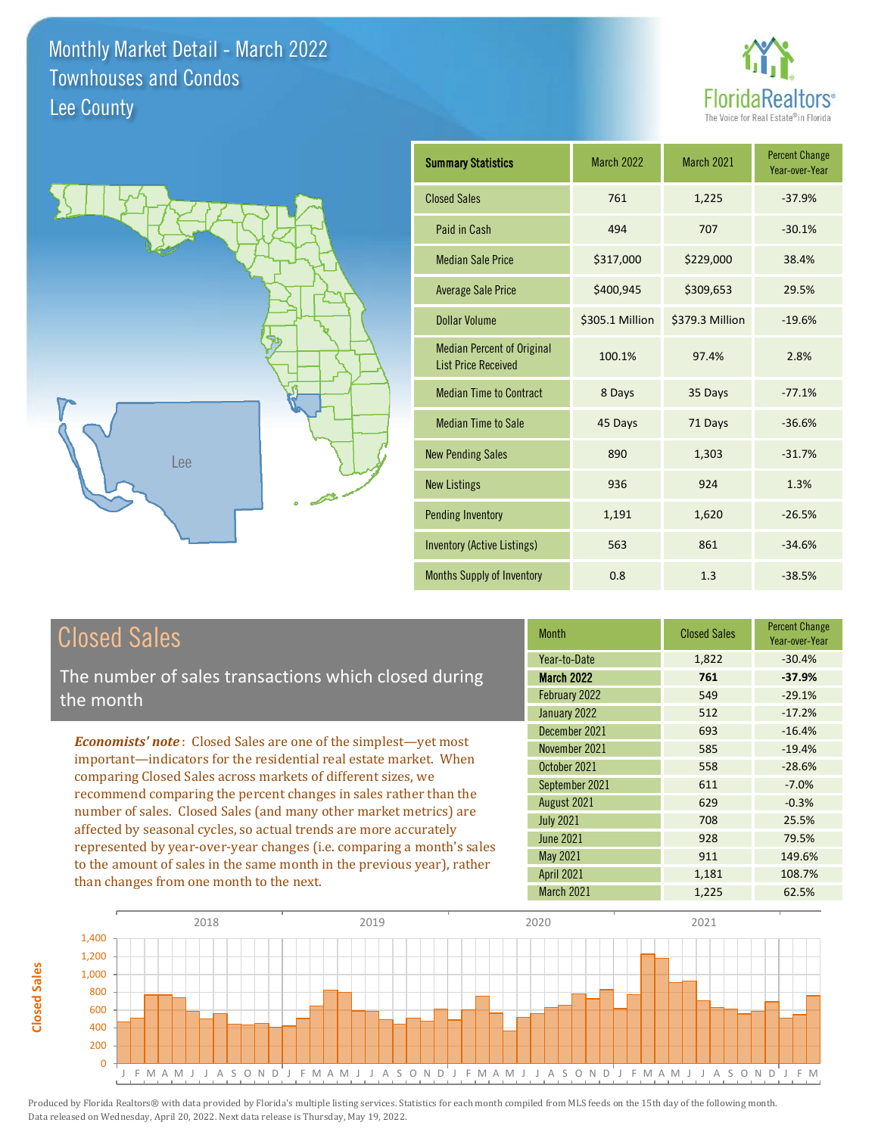



| <b>Summary Statistics</b>                                       | <b>March 2022</b> | March 2021      | <b>Percent Change</b><br>Year-over-Year |
|-----------------------------------------------------------------|-------------------|-----------------|-----------------------------------------|
| <b>Closed Sales</b>                                             | 761               | 1,225           | $-37.9%$                                |
| Paid in Cash                                                    | 494               | 707             | $-30.1%$                                |
| <b>Median Sale Price</b>                                        | \$317,000         | \$229,000       | 38.4%                                   |
| <b>Average Sale Price</b>                                       | \$400,945         | \$309,653       | 29.5%                                   |
| <b>Dollar Volume</b>                                            | \$305.1 Million   | \$379.3 Million | $-19.6%$                                |
| <b>Median Percent of Original</b><br><b>List Price Received</b> | 100.1%            | 97.4%           | 2.8%                                    |
| <b>Median Time to Contract</b>                                  | 8 Days            | 35 Days         | $-77.1%$                                |
| <b>Median Time to Sale</b>                                      | 45 Days           | 71 Days         | $-36.6%$                                |
| <b>New Pending Sales</b>                                        | 890               | 1,303           | $-31.7%$                                |
| <b>New Listings</b>                                             | 936               | 924             | 1.3%                                    |
| <b>Pending Inventory</b>                                        | 1,191             | 1,620           | $-26.5%$                                |
| <b>Inventory (Active Listings)</b>                              | 563               | 861             | $-34.6%$                                |
| <b>Months Supply of Inventory</b>                               | 0.8               | 1.3             | $-38.5%$                                |

## Closed Sales

**Closed Sales**

**Closed Sales** 

The number of sales transactions which closed during the month

*Economists' note* : Closed Sales are one of the simplest—yet most important—indicators for the residential real estate market. When comparing Closed Sales across markets of different sizes, we recommend comparing the percent changes in sales rather than the number of sales. Closed Sales (and many other market metrics) are affected by seasonal cycles, so actual trends are more accurately represented by year-over-year changes (i.e. comparing a month's sales to the amount of sales in the same month in the previous year), rather than changes from one month to the next.

| <b>Closed Sales</b> | <b>Percent Change</b><br>Year-over-Year |
|---------------------|-----------------------------------------|
| 1,822               | $-30.4%$                                |
| 761                 | $-37.9%$                                |
| 549                 | $-29.1%$                                |
| 512                 | $-17.2%$                                |
| 693                 | $-16.4%$                                |
| 585                 | $-19.4%$                                |
| 558                 | $-28.6%$                                |
| 611                 | $-7.0%$                                 |
| 629                 | $-0.3%$                                 |
| 708                 | 25.5%                                   |
| 928                 | 79.5%                                   |
| 911                 | 149.6%                                  |
| 1,181               | 108.7%                                  |
| 1,225               | 62.5%                                   |
|                     |                                         |

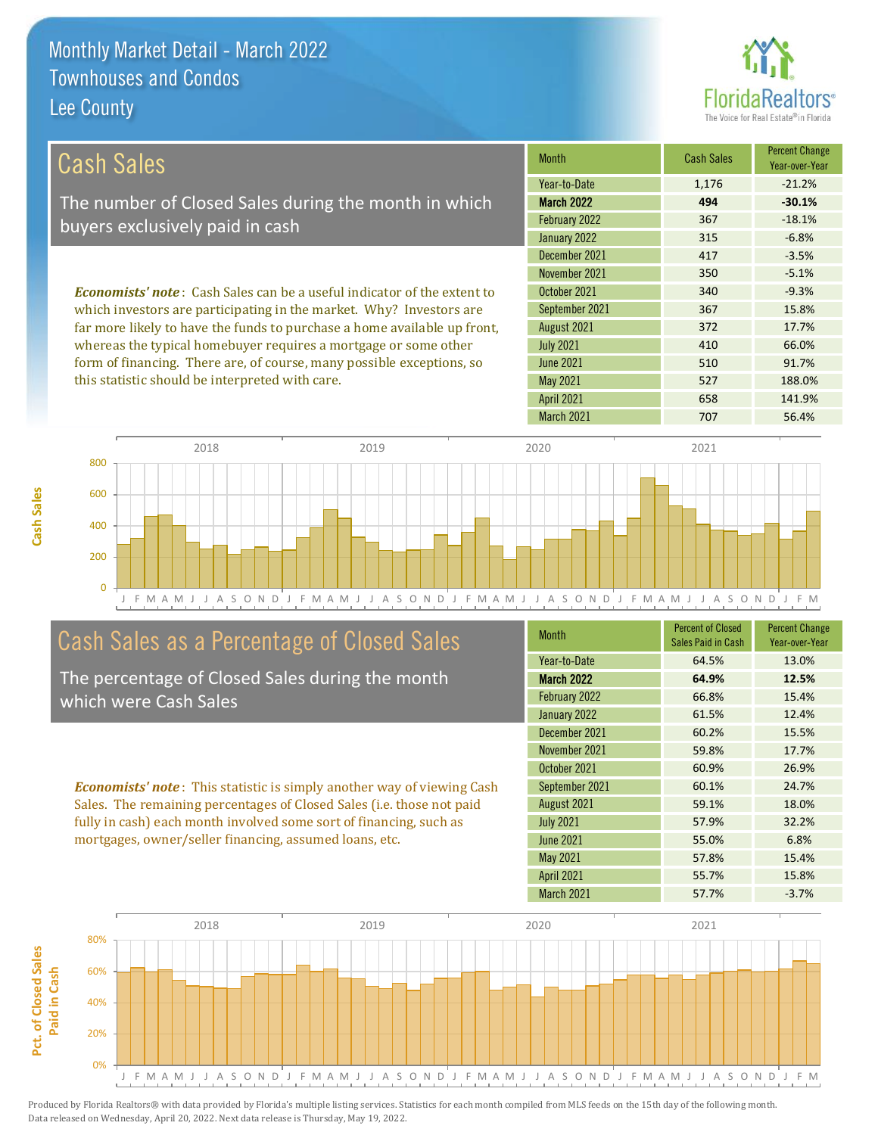**Cash Sales**



| <b>Cash Sales</b>                                                              | <b>Month</b>      | <b>Cash Sales</b> | <b>Percent Change</b><br>Year-over-Year |
|--------------------------------------------------------------------------------|-------------------|-------------------|-----------------------------------------|
|                                                                                | Year-to-Date      | 1,176             | $-21.2%$                                |
| The number of Closed Sales during the month in which                           | <b>March 2022</b> | 494               | $-30.1%$                                |
| buyers exclusively paid in cash                                                | February 2022     | 367               | $-18.1%$                                |
|                                                                                | January 2022      | 315               | $-6.8%$                                 |
|                                                                                | December 2021     | 417               | $-3.5%$                                 |
|                                                                                | November 2021     | 350               | $-5.1%$                                 |
| <b>Economists' note:</b> Cash Sales can be a useful indicator of the extent to | October 2021      | 340               | $-9.3%$                                 |
| which investors are participating in the market. Why? Investors are            | September 2021    | 367               | 15.8%                                   |
| far more likely to have the funds to purchase a home available up front,       | August 2021       | 372               | 17.7%                                   |
| whereas the typical homebuyer requires a mortgage or some other                | <b>July 2021</b>  | 410               | 66.0%                                   |
| form of financing. There are, of course, many possible exceptions, so          | <b>June 2021</b>  | 510               | 91.7%                                   |
| this statistic should be interpreted with care.                                | May 2021          | 527               | 188.0%                                  |
|                                                                                | <b>April 2021</b> | 658               | 141.9%                                  |



# Cash Sales as a Percentage of Closed Sales

The percentage of Closed Sales during the month which were Cash Sales

*Economists' note* : This statistic is simply another way of viewing Cash Sales. The remaining percentages of Closed Sales (i.e. those not paid fully in cash) each month involved some sort of financing, such as mortgages, owner/seller financing, assumed loans, etc.

| <b>Month</b>      | <b>Percent of Closed</b><br>Sales Paid in Cash | <b>Percent Change</b><br>Year-over-Year |
|-------------------|------------------------------------------------|-----------------------------------------|
| Year-to-Date      | 64.5%                                          | 13.0%                                   |
| March 2022        | 64.9%                                          | 12.5%                                   |
| February 2022     | 66.8%                                          | 15.4%                                   |
| January 2022      | 61.5%                                          | 12.4%                                   |
| December 2021     | 60.2%                                          | 15.5%                                   |
| November 2021     | 59.8%                                          | 17.7%                                   |
| October 2021      | 60.9%                                          | 26.9%                                   |
| September 2021    | 60.1%                                          | 24.7%                                   |
| August 2021       | 59.1%                                          | 18.0%                                   |
| <b>July 2021</b>  | 57.9%                                          | 32.2%                                   |
| <b>June 2021</b>  | 55.0%                                          | 6.8%                                    |
| May 2021          | 57.8%                                          | 15.4%                                   |
| <b>April 2021</b> | 55.7%                                          | 15.8%                                   |
| March 2021        | 57.7%                                          | $-3.7%$                                 |

March 2021 707 56.4%

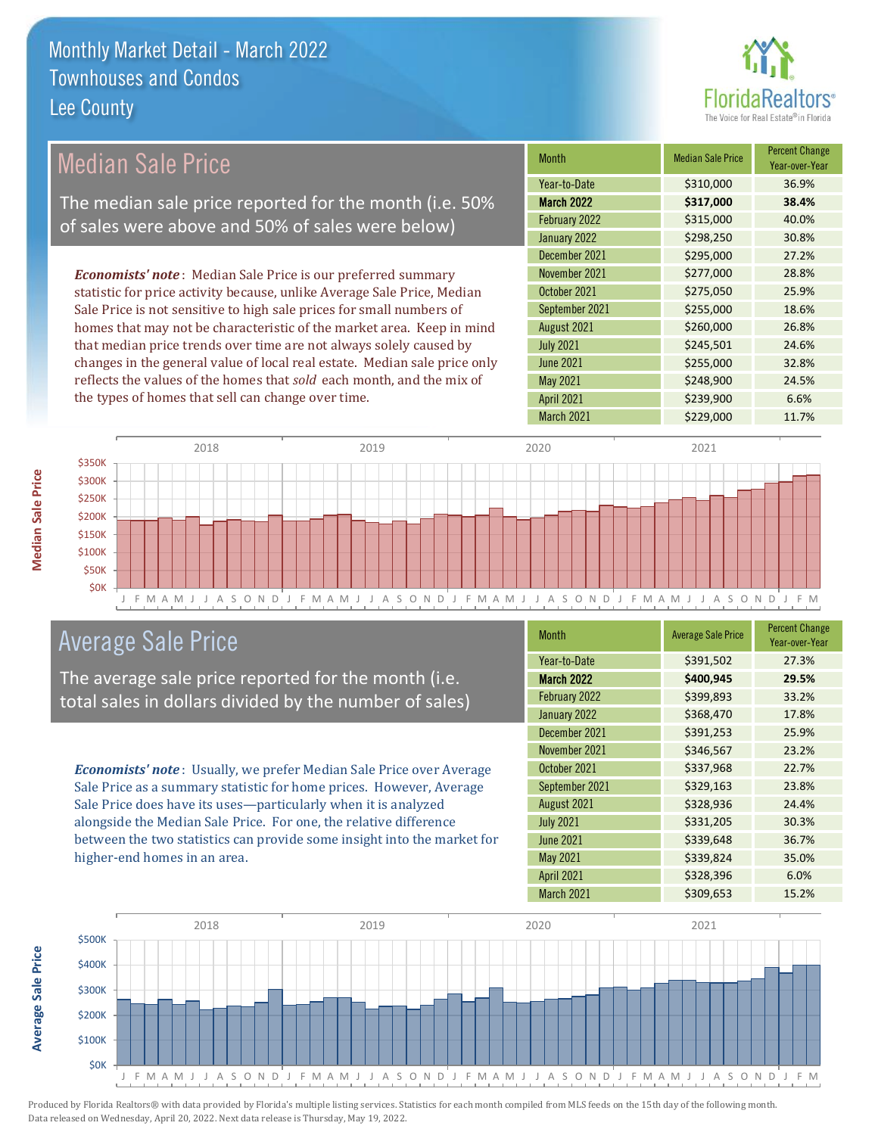

| Median Sale Price                                                         | <b>Month</b>      | <b>Median Sale Price</b> | <b>Percent Change</b><br>Year-over-Year |
|---------------------------------------------------------------------------|-------------------|--------------------------|-----------------------------------------|
|                                                                           | Year-to-Date      | \$310,000                | 36.9%                                   |
| The median sale price reported for the month (i.e. 50%                    | <b>March 2022</b> | \$317,000                | 38.4%                                   |
| of sales were above and 50% of sales were below)                          | February 2022     | \$315,000                | 40.0%                                   |
|                                                                           | January 2022      | \$298,250                | 30.8%                                   |
|                                                                           | December 2021     | \$295,000                | 27.2%                                   |
| <b>Economists' note:</b> Median Sale Price is our preferred summary       | November 2021     | \$277,000                | 28.8%                                   |
| statistic for price activity because, unlike Average Sale Price, Median   | October 2021      | \$275,050                | 25.9%                                   |
| Sale Price is not sensitive to high sale prices for small numbers of      | September 2021    | \$255,000                | 18.6%                                   |
| homes that may not be characteristic of the market area. Keep in mind     | August 2021       | \$260,000                | 26.8%                                   |
| that median price trends over time are not always solely caused by        | <b>July 2021</b>  | \$245,501                | 24.6%                                   |
| changes in the general value of local real estate. Median sale price only | June 2021         | \$255,000                | 32.8%                                   |
| reflects the values of the homes that sold each month, and the mix of     | May 2021          | \$248,900                | 24.5%                                   |
| the types of homes that sell can change over time.                        | <b>April 2021</b> | \$239,900                | 6.6%                                    |



## Average Sale Price

The average sale price reported for the month (i.e. total sales in dollars divided by the number of sales)

*Economists' note* : Usually, we prefer Median Sale Price over Average Sale Price as a summary statistic for home prices. However, Average Sale Price does have its uses—particularly when it is analyzed alongside the Median Sale Price. For one, the relative difference between the two statistics can provide some insight into the market for higher-end homes in an area.

| <b>Average Sale Price</b> | <b>Percent Change</b><br>Year-over-Year |
|---------------------------|-----------------------------------------|
| \$391,502                 | 27.3%                                   |
| \$400,945                 | 29.5%                                   |
| \$399,893                 | 33.2%                                   |
| \$368,470                 | 17.8%                                   |
| \$391,253                 | 25.9%                                   |
| \$346,567                 | 23.2%                                   |
| \$337,968                 | 22.7%                                   |
| \$329,163                 | 23.8%                                   |
| \$328,936                 | 24.4%                                   |
| \$331,205                 | 30.3%                                   |
| \$339,648                 | 36.7%                                   |
| \$339,824                 | 35.0%                                   |
| \$328,396                 | 6.0%                                    |
| \$309,653                 | 15.2%                                   |
|                           |                                         |

March 2021 \$229,000 11.7%



**Median Sale Price Median Sale Price**

**Average Sale Price Average Sale Price**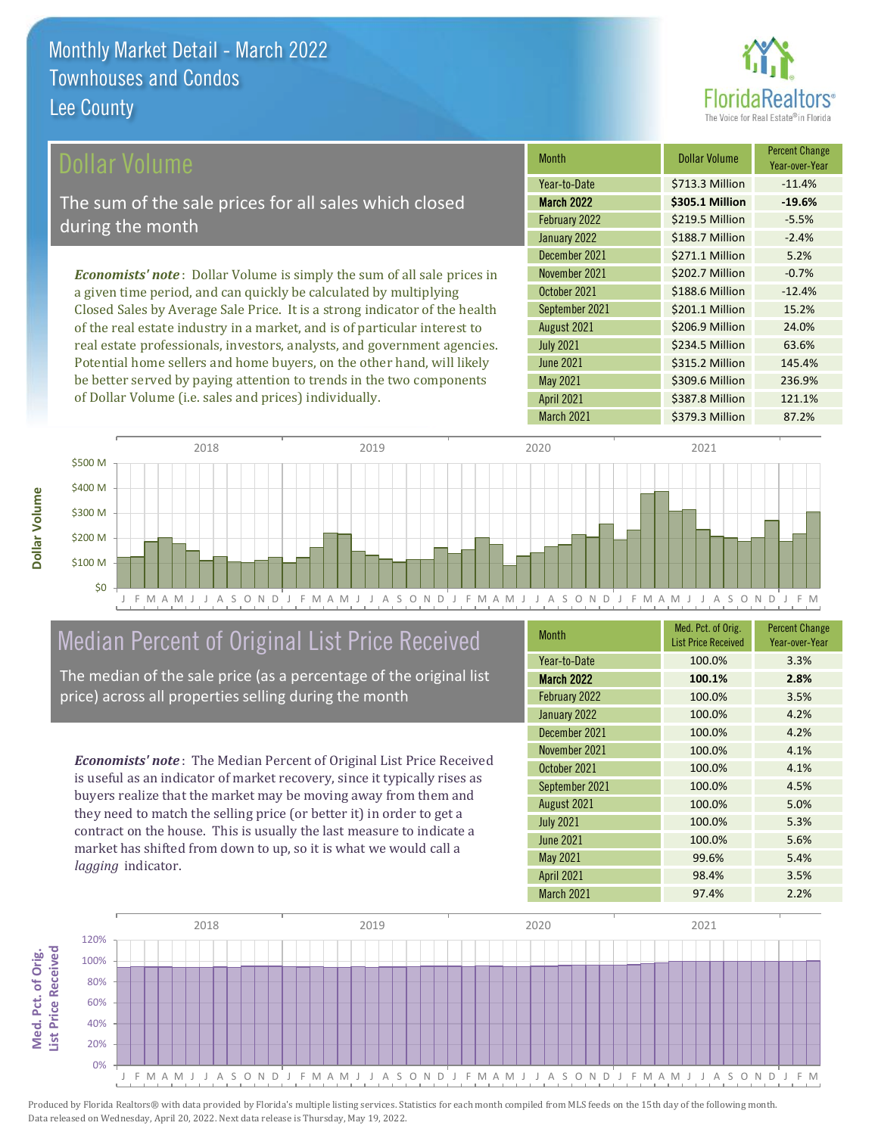

| Dollar Volume                                                                   | <b>Month</b>      | <b>Dollar Volume</b> | <b>Percent Change</b><br>Year-over-Year |
|---------------------------------------------------------------------------------|-------------------|----------------------|-----------------------------------------|
|                                                                                 | Year-to-Date      | \$713.3 Million      | $-11.4%$                                |
| The sum of the sale prices for all sales which closed                           | <b>March 2022</b> | \$305.1 Million      | $-19.6%$                                |
| during the month                                                                | February 2022     | \$219.5 Million      | $-5.5%$                                 |
|                                                                                 | January 2022      | \$188.7 Million      | $-2.4%$                                 |
|                                                                                 | December 2021     | \$271.1 Million      | 5.2%                                    |
| <b>Economists' note</b> : Dollar Volume is simply the sum of all sale prices in | November 2021     | \$202.7 Million      | $-0.7%$                                 |
| a given time period, and can quickly be calculated by multiplying               | October 2021      | \$188.6 Million      | $-12.4%$                                |
| Closed Sales by Average Sale Price. It is a strong indicator of the health      | September 2021    | \$201.1 Million      | 15.2%                                   |
| of the real estate industry in a market, and is of particular interest to       | August 2021       | \$206.9 Million      | 24.0%                                   |
| real estate professionals, investors, analysts, and government agencies.        | <b>July 2021</b>  | \$234.5 Million      | 63.6%                                   |
| Potential home sellers and home buyers, on the other hand, will likely          | <b>June 2021</b>  | \$315.2 Million      | 145.4%                                  |
| be better served by paying attention to trends in the two components            | May 2021          | \$309.6 Million      | 236.9%                                  |



## Median Percent of Original List Price Received

of Dollar Volume (i.e. sales and prices) individually.

The median of the sale price (as a percentage of the original list price) across all properties selling during the month

*Economists' note* : The Median Percent of Original List Price Received is useful as an indicator of market recovery, since it typically rises as buyers realize that the market may be moving away from them and they need to match the selling price (or better it) in order to get a contract on the house. This is usually the last measure to indicate a market has shifted from down to up, so it is what we would call a *lagging* indicator.

**Med. Pct. of Orig.** 

Med. Pct. of Orig.

**Dollar Volume**

Dollar Volume

| Month             | Med. Pct. of Orig.<br><b>List Price Received</b> | <b>Percent Change</b><br>Year-over-Year |
|-------------------|--------------------------------------------------|-----------------------------------------|
| Year-to-Date      | 100.0%                                           | 3.3%                                    |
| <b>March 2022</b> | 100.1%                                           | 2.8%                                    |
| February 2022     | 100.0%                                           | 3.5%                                    |
| January 2022      | 100.0%                                           | 4.2%                                    |
| December 2021     | 100.0%                                           | 4.2%                                    |
| November 2021     | 100.0%                                           | 4.1%                                    |
| October 2021      | 100.0%                                           | 4.1%                                    |
| September 2021    | 100.0%                                           | 4.5%                                    |
| August 2021       | 100.0%                                           | 5.0%                                    |
| <b>July 2021</b>  | 100.0%                                           | 5.3%                                    |
| <b>June 2021</b>  | 100.0%                                           | 5.6%                                    |
| <b>May 2021</b>   | 99.6%                                            | 5.4%                                    |
| <b>April 2021</b> | 98.4%                                            | 3.5%                                    |
| March 2021        | 97.4%                                            | 2.2%                                    |

March 2021 **\$379.3 Million 87.2%** 

April 2021 **\$387.8 Million** 121.1%

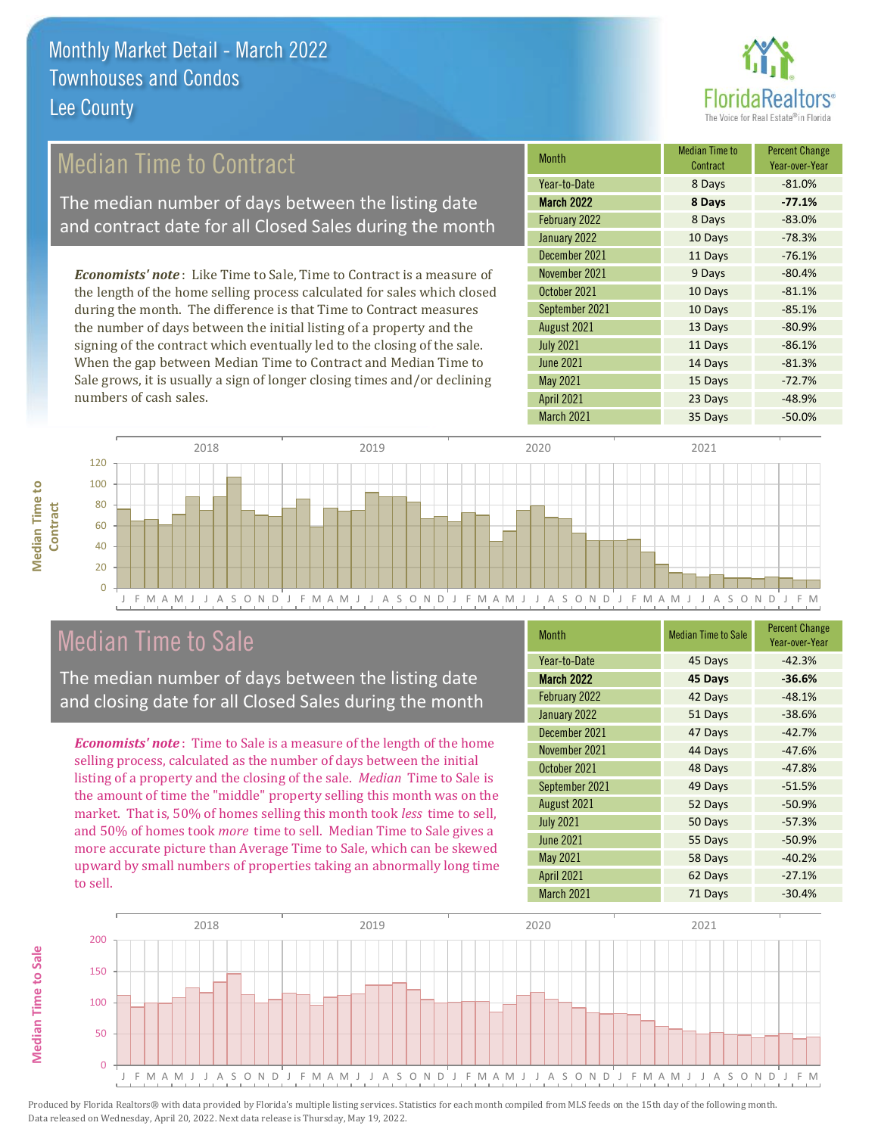

# Median Time to Contract

The median number of days between the listing date and contract date for all Closed Sales during the month

*Economists' note* : Like Time to Sale, Time to Contract is a measure of the length of the home selling process calculated for sales which closed during the month. The difference is that Time to Contract measures the number of days between the initial listing of a property and the signing of the contract which eventually led to the closing of the sale. When the gap between Median Time to Contract and Median Time to Sale grows, it is usually a sign of longer closing times and/or declining numbers of cash sales.

| Median Time to<br>Contract | <b>Percent Change</b><br>Year-over-Year |
|----------------------------|-----------------------------------------|
| 8 Days                     | $-81.0%$                                |
| 8 Days                     | $-77.1%$                                |
| 8 Days                     | $-83.0%$                                |
| 10 Days                    | $-78.3%$                                |
| 11 Days                    | $-76.1%$                                |
| 9 Days                     | $-80.4%$                                |
| 10 Days                    | $-81.1%$                                |
| 10 Days                    | $-85.1%$                                |
| 13 Days                    | $-80.9%$                                |
| 11 Days                    | $-86.1%$                                |
| 14 Days                    | $-81.3%$                                |
| 15 Days                    | $-72.7%$                                |
| 23 Days                    | $-48.9%$                                |
| 35 Days                    | $-50.0%$                                |
|                            |                                         |



### Median Time to Sale

**Median Time to Sale**

**Median Time to Sale** 

The median number of days between the listing date and closing date for all Closed Sales during the month

*Economists' note* : Time to Sale is a measure of the length of the home selling process, calculated as the number of days between the initial listing of a property and the closing of the sale. *Median* Time to Sale is the amount of time the "middle" property selling this month was on the market. That is, 50% of homes selling this month took *less* time to sell, and 50% of homes took *more* time to sell. Median Time to Sale gives a more accurate picture than Average Time to Sale, which can be skewed upward by small numbers of properties taking an abnormally long time to sell.

| <b>Month</b>      | <b>Median Time to Sale</b> | <b>Percent Change</b><br>Year-over-Year |
|-------------------|----------------------------|-----------------------------------------|
| Year-to-Date      | 45 Days                    | $-42.3%$                                |
| March 2022        | 45 Days                    | $-36.6%$                                |
| February 2022     | 42 Days                    | $-48.1%$                                |
| January 2022      | 51 Days                    | $-38.6%$                                |
| December 2021     | 47 Days                    | $-42.7%$                                |
| November 2021     | 44 Days                    | $-47.6%$                                |
| October 2021      | 48 Days                    | $-47.8%$                                |
| September 2021    | 49 Days                    | $-51.5%$                                |
| August 2021       | 52 Days                    | $-50.9%$                                |
| <b>July 2021</b>  | 50 Days                    | $-57.3%$                                |
| <b>June 2021</b>  | 55 Days                    | $-50.9%$                                |
| <b>May 2021</b>   | 58 Days                    | $-40.2%$                                |
| <b>April 2021</b> | 62 Days                    | $-27.1%$                                |
| March 2021        | 71 Days                    | $-30.4%$                                |
|                   |                            |                                         |

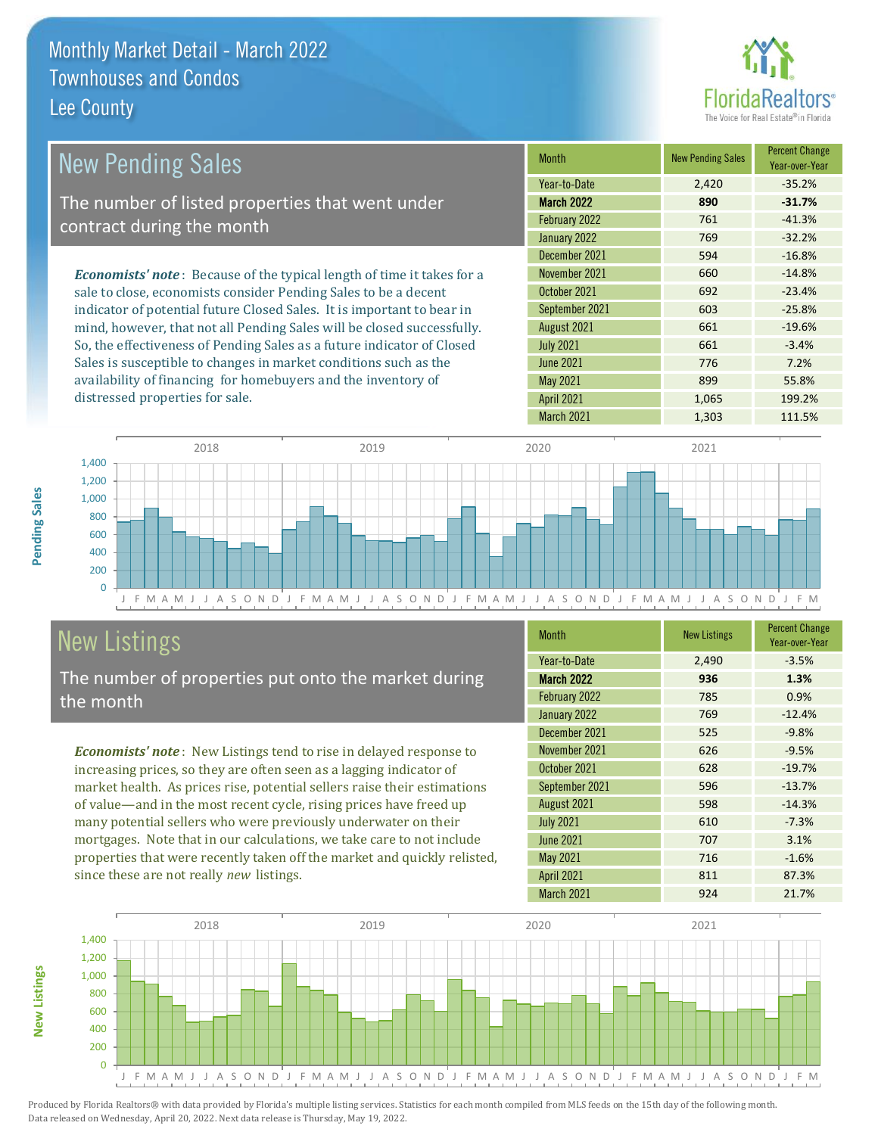

| <b>New Pending Sales</b>                                                       | <b>Month</b>      | <b>New Pending Sales</b> | <b>Percent Change</b><br>Year-over-Year |
|--------------------------------------------------------------------------------|-------------------|--------------------------|-----------------------------------------|
|                                                                                | Year-to-Date      | 2,420                    | $-35.2%$                                |
| The number of listed properties that went under                                | <b>March 2022</b> | 890                      | $-31.7%$                                |
| contract during the month                                                      | February 2022     | 761                      | $-41.3%$                                |
|                                                                                | January 2022      | 769                      | $-32.2%$                                |
|                                                                                | December 2021     | 594                      | $-16.8%$                                |
| <b>Economists' note</b> : Because of the typical length of time it takes for a | November 2021     | 660                      | $-14.8%$                                |
| sale to close, economists consider Pending Sales to be a decent                | October 2021      | 692                      | $-23.4%$                                |
| indicator of potential future Closed Sales. It is important to bear in         | September 2021    | 603                      | $-25.8%$                                |
| mind, however, that not all Pending Sales will be closed successfully.         | August 2021       | 661                      | $-19.6%$                                |
| So, the effectiveness of Pending Sales as a future indicator of Closed         | <b>July 2021</b>  | 661                      | $-3.4%$                                 |
| Sales is susceptible to changes in market conditions such as the               | <b>June 2021</b>  | 776                      | 7.2%                                    |
| availability of financing for homebuyers and the inventory of                  | May 2021          | 899                      | 55.8%                                   |



# New Listings

distressed properties for sale.

The number of properties put onto the market during the month

*Economists' note* : New Listings tend to rise in delayed response to increasing prices, so they are often seen as a lagging indicator of market health. As prices rise, potential sellers raise their estimations of value—and in the most recent cycle, rising prices have freed up many potential sellers who were previously underwater on their mortgages. Note that in our calculations, we take care to not include properties that were recently taken off the market and quickly relisted, since these are not really *new* listings.

| <b>Month</b>      | <b>New Listings</b> | <b>Percent Change</b><br>Year-over-Year |
|-------------------|---------------------|-----------------------------------------|
| Year-to-Date      | 2,490               | $-3.5%$                                 |
| <b>March 2022</b> | 936                 | 1.3%                                    |
| February 2022     | 785                 | 0.9%                                    |
| January 2022      | 769                 | $-12.4%$                                |
| December 2021     | 525                 | $-9.8%$                                 |
| November 2021     | 626                 | $-9.5%$                                 |
| October 2021      | 628                 | $-19.7%$                                |
| September 2021    | 596                 | $-13.7%$                                |
| August 2021       | 598                 | $-14.3%$                                |
| <b>July 2021</b>  | 610                 | $-7.3%$                                 |
| <b>June 2021</b>  | 707                 | 3.1%                                    |
| <b>May 2021</b>   | 716                 | $-1.6%$                                 |
| <b>April 2021</b> | 811                 | 87.3%                                   |
| March 2021        | 924                 | 21.7%                                   |

April 2021 1,065 199.2%



**New Listings**

**Pending Sales**

Pending Sales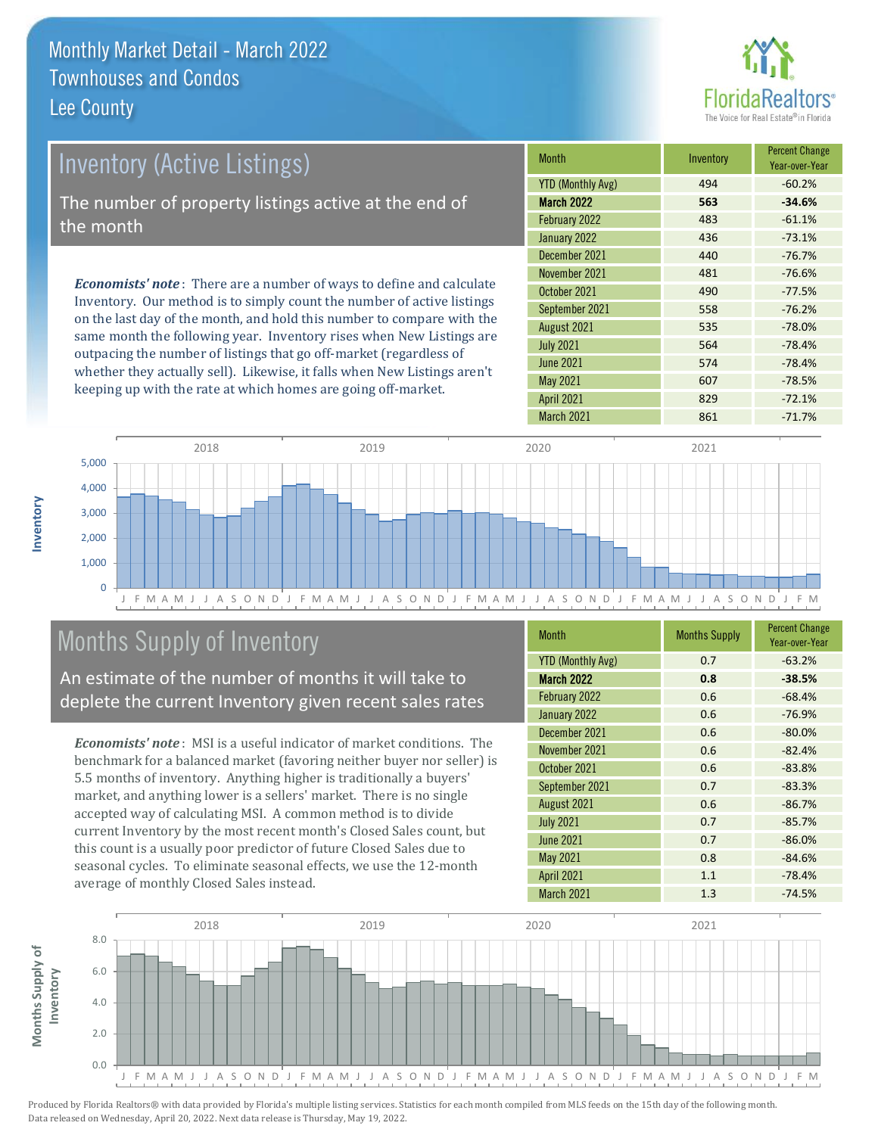

| Inventory (Active Listings)                                                                                                                                                                                                                                                                                                                                                                                                                                                                            | <b>Month</b>             | Inventory | <b>Percent Change</b><br>Year-over-Year |
|--------------------------------------------------------------------------------------------------------------------------------------------------------------------------------------------------------------------------------------------------------------------------------------------------------------------------------------------------------------------------------------------------------------------------------------------------------------------------------------------------------|--------------------------|-----------|-----------------------------------------|
|                                                                                                                                                                                                                                                                                                                                                                                                                                                                                                        | <b>YTD (Monthly Avg)</b> | 494       | $-60.2%$                                |
| The number of property listings active at the end of                                                                                                                                                                                                                                                                                                                                                                                                                                                   | <b>March 2022</b>        | 563       | $-34.6%$                                |
| the month                                                                                                                                                                                                                                                                                                                                                                                                                                                                                              | February 2022            | 483       | $-61.1%$                                |
|                                                                                                                                                                                                                                                                                                                                                                                                                                                                                                        | January 2022             | 436       | $-73.1%$                                |
|                                                                                                                                                                                                                                                                                                                                                                                                                                                                                                        | December 2021            | 440       | $-76.7%$                                |
| <b>Economists' note</b> : There are a number of ways to define and calculate                                                                                                                                                                                                                                                                                                                                                                                                                           | November 2021            | 481       | $-76.6%$                                |
|                                                                                                                                                                                                                                                                                                                                                                                                                                                                                                        | October 2021             | 490       | $-77.5%$                                |
| Inventory. Our method is to simply count the number of active listings<br>$\mathbf{y} = \mathbf{y} = \mathbf{y} = \mathbf{y} = \mathbf{y} = \mathbf{y} = \mathbf{y} = \mathbf{y} = \mathbf{y} = \mathbf{y} = \mathbf{y} = \mathbf{y} = \mathbf{y} = \mathbf{y} = \mathbf{y} = \mathbf{y} = \mathbf{y} = \mathbf{y} = \mathbf{y} = \mathbf{y} = \mathbf{y} = \mathbf{y} = \mathbf{y} = \mathbf{y} = \mathbf{y} = \mathbf{y} = \mathbf{y} = \mathbf{y} = \mathbf{y} = \mathbf{y} = \mathbf{y} = \mathbf$ | September 2021           | 558       | $-76.2%$                                |

on the last day of the month, and hold this number to compare with the same month the following year. Inventory rises when New Listings are outpacing the number of listings that go off-market (regardless of whether they actually sell). Likewise, it falls when New Listings aren't keeping up with the rate at which homes are going off-market.

| <b>IVIUILII</b>          | <b>ILIVUILUI Y</b> | Year-over-Year |
|--------------------------|--------------------|----------------|
| <b>YTD (Monthly Avg)</b> | 494                | $-60.2%$       |
| <b>March 2022</b>        | 563                | $-34.6%$       |
| February 2022            | 483                | $-61.1%$       |
| January 2022             | 436                | $-73.1%$       |
| December 2021            | 440                | $-76.7%$       |
| November 2021            | 481                | $-76.6%$       |
| October 2021             | 490                | $-77.5%$       |
| September 2021           | 558                | $-76.2%$       |
| August 2021              | 535                | $-78.0%$       |
| <b>July 2021</b>         | 564                | $-78.4%$       |
| <b>June 2021</b>         | 574                | $-78.4%$       |
| <b>May 2021</b>          | 607                | $-78.5%$       |
| <b>April 2021</b>        | 829                | $-72.1%$       |
| <b>March 2021</b>        | 861                | $-71.7%$       |



# Months Supply of Inventory

An estimate of the number of months it will take to deplete the current Inventory given recent sales rates

*Economists' note* : MSI is a useful indicator of market conditions. The benchmark for a balanced market (favoring neither buyer nor seller) is 5.5 months of inventory. Anything higher is traditionally a buyers' market, and anything lower is a sellers' market. There is no single accepted way of calculating MSI. A common method is to divide current Inventory by the most recent month's Closed Sales count, but this count is a usually poor predictor of future Closed Sales due to seasonal cycles. To eliminate seasonal effects, we use the 12-month average of monthly Closed Sales instead.

| <b>YTD (Monthly Avg)</b><br>0.7<br>$-63.2%$<br>March 2022<br>0.8<br>$-38.5%$<br>February 2022<br>0.6<br>$-68.4%$<br>January 2022<br>$-76.9%$<br>0.6<br>December 2021<br>0.6<br>$-80.0%$<br>November 2021<br>0.6<br>$-82.4%$<br>October 2021<br>0.6<br>$-83.8%$<br>September 2021<br>0.7<br>$-83.3%$<br>August 2021<br>0.6<br>$-86.7%$<br><b>July 2021</b><br>$-85.7%$<br>0.7<br><b>June 2021</b><br>$-86.0%$<br>0.7<br><b>May 2021</b><br>0.8<br>$-84.6%$<br><b>April 2021</b><br>1.1<br>$-78.4%$<br>March 2021<br>1.3<br>$-74.5%$ | <b>Month</b> | <b>Months Supply</b> | <b>Percent Change</b><br>Year-over-Year |
|------------------------------------------------------------------------------------------------------------------------------------------------------------------------------------------------------------------------------------------------------------------------------------------------------------------------------------------------------------------------------------------------------------------------------------------------------------------------------------------------------------------------------------|--------------|----------------------|-----------------------------------------|
|                                                                                                                                                                                                                                                                                                                                                                                                                                                                                                                                    |              |                      |                                         |
|                                                                                                                                                                                                                                                                                                                                                                                                                                                                                                                                    |              |                      |                                         |
|                                                                                                                                                                                                                                                                                                                                                                                                                                                                                                                                    |              |                      |                                         |
|                                                                                                                                                                                                                                                                                                                                                                                                                                                                                                                                    |              |                      |                                         |
|                                                                                                                                                                                                                                                                                                                                                                                                                                                                                                                                    |              |                      |                                         |
|                                                                                                                                                                                                                                                                                                                                                                                                                                                                                                                                    |              |                      |                                         |
|                                                                                                                                                                                                                                                                                                                                                                                                                                                                                                                                    |              |                      |                                         |
|                                                                                                                                                                                                                                                                                                                                                                                                                                                                                                                                    |              |                      |                                         |
|                                                                                                                                                                                                                                                                                                                                                                                                                                                                                                                                    |              |                      |                                         |
|                                                                                                                                                                                                                                                                                                                                                                                                                                                                                                                                    |              |                      |                                         |
|                                                                                                                                                                                                                                                                                                                                                                                                                                                                                                                                    |              |                      |                                         |
|                                                                                                                                                                                                                                                                                                                                                                                                                                                                                                                                    |              |                      |                                         |
|                                                                                                                                                                                                                                                                                                                                                                                                                                                                                                                                    |              |                      |                                         |
|                                                                                                                                                                                                                                                                                                                                                                                                                                                                                                                                    |              |                      |                                         |

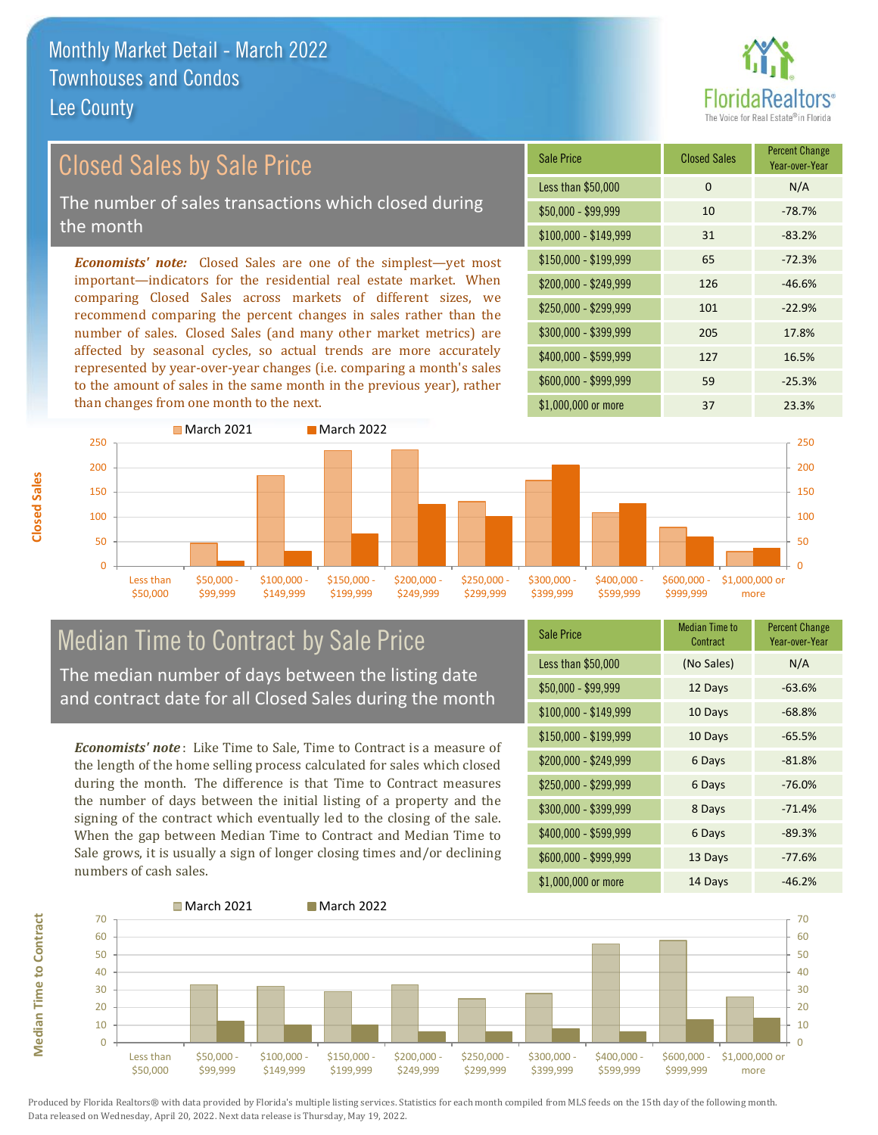

## Closed Sales by Sale Price

The number of sales transactions which closed during the month

*Economists' note:* Closed Sales are one of the simplest—yet most important—indicators for the residential real estate market. When comparing Closed Sales across markets of different sizes, we recommend comparing the percent changes in sales rather than the number of sales. Closed Sales (and many other market metrics) are affected by seasonal cycles, so actual trends are more accurately represented by year-over-year changes (i.e. comparing a month's sales to the amount of sales in the same month in the previous year), rather than changes from one month to the next.

| Sale Price            | <b>Closed Sales</b> | <b>Percent Change</b><br>Year-over-Year |
|-----------------------|---------------------|-----------------------------------------|
| Less than \$50,000    | $\Omega$            | N/A                                     |
| \$50,000 - \$99,999   | 10                  | $-78.7%$                                |
| $$100,000 - $149,999$ | 31                  | $-83.2%$                                |
| $$150,000 - $199,999$ | 65                  | $-72.3%$                                |
| \$200,000 - \$249,999 | 126                 | $-46.6%$                                |
| \$250,000 - \$299,999 | 101                 | $-22.9%$                                |
| \$300,000 - \$399,999 | 205                 | 17.8%                                   |
| \$400,000 - \$599,999 | 127                 | 16.5%                                   |
| \$600,000 - \$999,999 | 59                  | $-25.3%$                                |
| \$1,000,000 or more   | 37                  | 23.3%                                   |



# Median Time to Contract by Sale Price

The median number of days between the listing date and contract date for all Closed Sales during the month

*Economists' note* : Like Time to Sale, Time to Contract is a measure of the length of the home selling process calculated for sales which closed during the month. The difference is that Time to Contract measures the number of days between the initial listing of a property and the signing of the contract which eventually led to the closing of the sale. When the gap between Median Time to Contract and Median Time to Sale grows, it is usually a sign of longer closing times and/or declining numbers of cash sales.

| <b>Sale Price</b>     | <b>Median Time to</b><br>Contract | <b>Percent Change</b><br>Year-over-Year |
|-----------------------|-----------------------------------|-----------------------------------------|
| Less than \$50,000    | (No Sales)                        | N/A                                     |
| $$50,000 - $99,999$   | 12 Days                           | $-63.6%$                                |
| $$100,000 - $149,999$ | 10 Days                           | $-68.8%$                                |
| $$150,000 - $199,999$ | 10 Days                           | $-65.5%$                                |
| \$200,000 - \$249,999 | 6 Days                            | $-81.8%$                                |
| \$250,000 - \$299,999 | 6 Days                            | $-76.0%$                                |
| \$300,000 - \$399,999 | 8 Days                            | $-71.4%$                                |
| \$400,000 - \$599,999 | 6 Days                            | $-89.3%$                                |
| \$600,000 - \$999,999 | 13 Days                           | $-77.6%$                                |
| \$1,000,000 or more   | 14 Days                           | $-46.2%$                                |



Produced by Florida Realtors® with data provided by Florida's multiple listing services. Statistics for each month compiled from MLS feeds on the 15th day of the following month. Data released on Wednesday, April 20, 2022. Next data release is Thursday, May 19, 2022.

**Median Time to Contract**

**Median Time to Contract**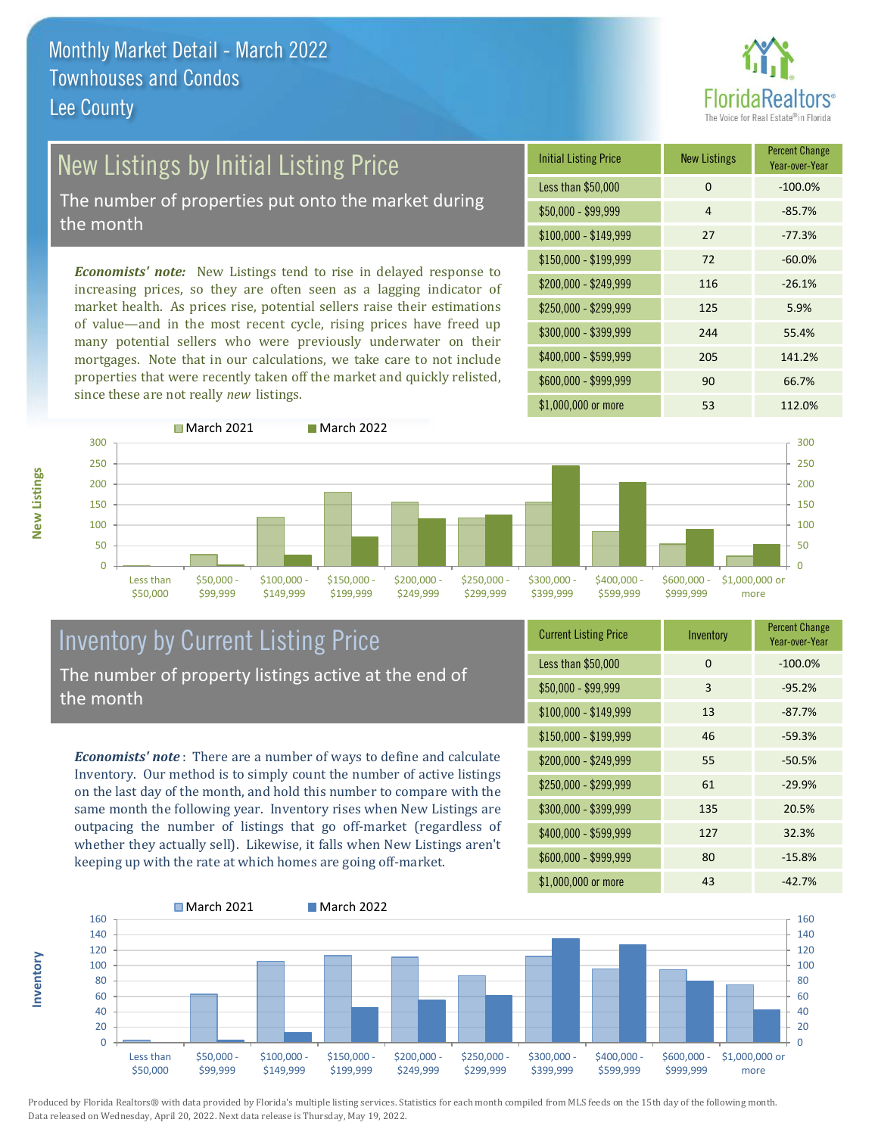

# New Listings by Initial Listing Price

The number of properties put onto the market during the month

*Economists' note:* New Listings tend to rise in delayed response to increasing prices, so they are often seen as a lagging indicator of market health. As prices rise, potential sellers raise their estimations of value—and in the most recent cycle, rising prices have freed up many potential sellers who were previously underwater on their mortgages. Note that in our calculations, we take care to not include properties that were recently taken off the market and quickly relisted, since these are not really *new* listings.





### Inventory by Current Listing Price The number of property listings active at the end of the month

*Economists' note* : There are a number of ways to define and calculate Inventory. Our method is to simply count the number of active listings on the last day of the month, and hold this number to compare with the same month the following year. Inventory rises when New Listings are outpacing the number of listings that go off-market (regardless of whether they actually sell). Likewise, it falls when New Listings aren't keeping up with the rate at which homes are going off-market.

| <b>Current Listing Price</b> | Inventory | <b>Percent Change</b><br>Year-over-Year |
|------------------------------|-----------|-----------------------------------------|
| Less than \$50,000           | 0         | $-100.0%$                               |
| $$50,000 - $99,999$          | 3         | $-95.2%$                                |
| $$100,000 - $149,999$        | 13        | $-87.7%$                                |
| $$150,000 - $199,999$        | 46        | $-59.3%$                                |
| $$200,000 - $249,999$        | 55        | $-50.5%$                                |
| \$250,000 - \$299,999        | 61        | $-29.9%$                                |
| \$300,000 - \$399,999        | 135       | 20.5%                                   |
| \$400,000 - \$599,999        | 127       | 32.3%                                   |
| \$600,000 - \$999,999        | 80        | $-15.8%$                                |
| \$1,000,000 or more          | 43        | $-42.7%$                                |



Produced by Florida Realtors® with data provided by Florida's multiple listing services. Statistics for each month compiled from MLS feeds on the 15th day of the following month. Data released on Wednesday, April 20, 2022. Next data release is Thursday, May 19, 2022.

**Inventory**